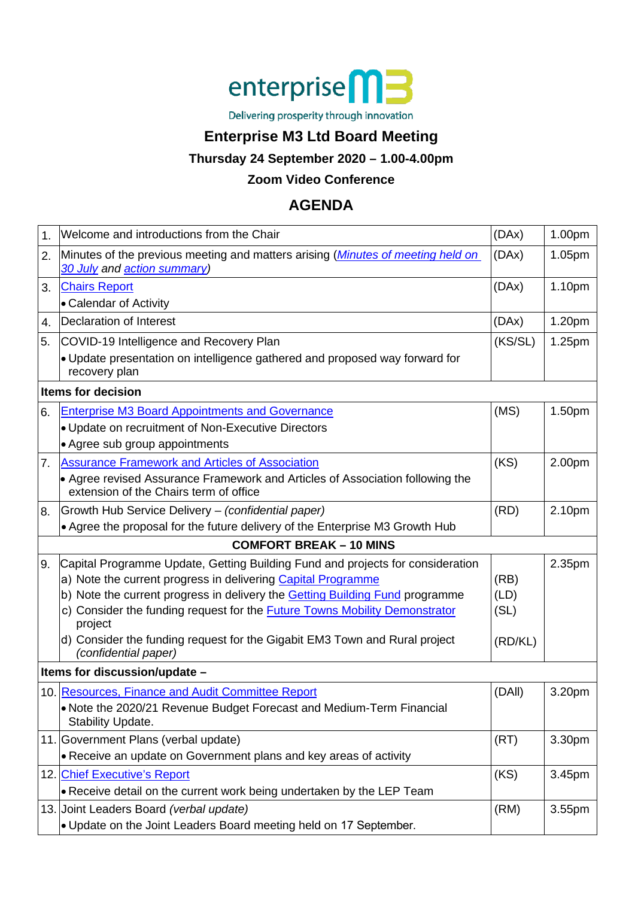

Delivering prosperity through innovation

# **Enterprise M3 Ltd Board Meeting**

## **Thursday 24 September 2020 – 1.00-4.00pm**

### **Zoom Video Conference**

# **AGENDA**

| 1.                             | Welcome and introductions from the Chair                                                                                | (DAx)   | 1.00pm |  |
|--------------------------------|-------------------------------------------------------------------------------------------------------------------------|---------|--------|--|
| 2.                             | Minutes of the previous meeting and matters arising (Minutes of meeting held on<br>30 July and action summary)          | (DAx)   | 1.05pm |  |
| 3.                             | <b>Chairs Report</b>                                                                                                    | (DAx)   | 1.10pm |  |
|                                | • Calendar of Activity                                                                                                  |         |        |  |
| 4.                             | Declaration of Interest                                                                                                 | (DAx)   | 1.20pm |  |
| 5.                             | COVID-19 Intelligence and Recovery Plan                                                                                 | (KS/SL) | 1.25pm |  |
|                                | • Update presentation on intelligence gathered and proposed way forward for<br>recovery plan                            |         |        |  |
| <b>Items for decision</b>      |                                                                                                                         |         |        |  |
| 6.                             | <b>Enterprise M3 Board Appointments and Governance</b>                                                                  | (MS)    | 1.50pm |  |
|                                | • Update on recruitment of Non-Executive Directors                                                                      |         |        |  |
|                                | • Agree sub group appointments                                                                                          |         |        |  |
| 7 <sub>1</sub>                 | <b>Assurance Framework and Articles of Association</b>                                                                  | (KS)    | 2.00pm |  |
|                                | • Agree revised Assurance Framework and Articles of Association following the<br>extension of the Chairs term of office |         |        |  |
| 8.                             | Growth Hub Service Delivery - (confidential paper)                                                                      | (RD)    | 2.10pm |  |
|                                | • Agree the proposal for the future delivery of the Enterprise M3 Growth Hub                                            |         |        |  |
| <b>COMFORT BREAK - 10 MINS</b> |                                                                                                                         |         |        |  |
| 9.                             | Capital Programme Update, Getting Building Fund and projects for consideration                                          |         | 2.35pm |  |
|                                | a) Note the current progress in delivering Capital Programme                                                            | (RB)    |        |  |
|                                | b) Note the current progress in delivery the <b>Getting Building Fund programme</b>                                     | (LD)    |        |  |
|                                | c) Consider the funding request for the <b>Future Towns Mobility Demonstrator</b><br>project                            | (SL)    |        |  |
|                                | d) Consider the funding request for the Gigabit EM3 Town and Rural project<br>(confidential paper)                      | (RD/KL) |        |  |
| Items for discussion/update -  |                                                                                                                         |         |        |  |
|                                | 10. Resources, Finance and Audit Committee Report                                                                       | (DAII)  | 3.20pm |  |
|                                | • Note the 2020/21 Revenue Budget Forecast and Medium-Term Financial<br>Stability Update.                               |         |        |  |
|                                | 11. Government Plans (verbal update)                                                                                    | (RT)    | 3.30pm |  |
|                                | • Receive an update on Government plans and key areas of activity                                                       |         |        |  |
|                                | 12. Chief Executive's Report                                                                                            | (KS)    | 3.45pm |  |
|                                | • Receive detail on the current work being undertaken by the LEP Team                                                   |         |        |  |
|                                | 13. Joint Leaders Board (verbal update)                                                                                 | (RM)    | 3.55pm |  |
|                                | . Update on the Joint Leaders Board meeting held on 17 September.                                                       |         |        |  |